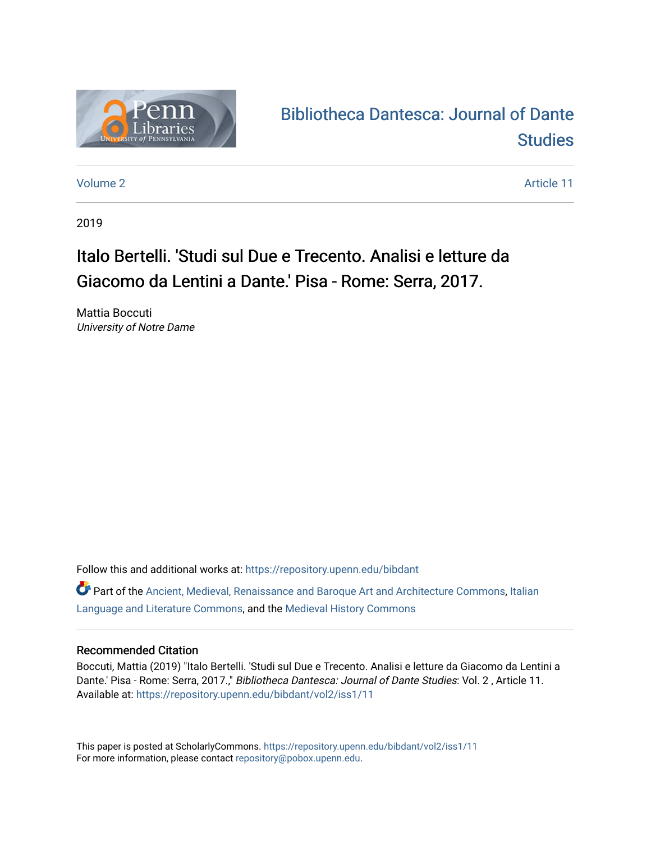

## [Bibliotheca Dantesca: Journal of Dante](https://repository.upenn.edu/bibdant)  **Studies**

[Volume 2](https://repository.upenn.edu/bibdant/vol2) Article 11

2019

## Italo Bertelli. 'Studi sul Due e Trecento. Analisi e letture da Giacomo da Lentini a Dante.' Pisa - Rome: Serra, 2017.

Mattia Boccuti University of Notre Dame

Follow this and additional works at: [https://repository.upenn.edu/bibdant](https://repository.upenn.edu/bibdant?utm_source=repository.upenn.edu%2Fbibdant%2Fvol2%2Fiss1%2F11&utm_medium=PDF&utm_campaign=PDFCoverPages)

Part of the [Ancient, Medieval, Renaissance and Baroque Art and Architecture Commons](http://network.bepress.com/hgg/discipline/512?utm_source=repository.upenn.edu%2Fbibdant%2Fvol2%2Fiss1%2F11&utm_medium=PDF&utm_campaign=PDFCoverPages), [Italian](http://network.bepress.com/hgg/discipline/471?utm_source=repository.upenn.edu%2Fbibdant%2Fvol2%2Fiss1%2F11&utm_medium=PDF&utm_campaign=PDFCoverPages) [Language and Literature Commons](http://network.bepress.com/hgg/discipline/471?utm_source=repository.upenn.edu%2Fbibdant%2Fvol2%2Fiss1%2F11&utm_medium=PDF&utm_campaign=PDFCoverPages), and the [Medieval History Commons](http://network.bepress.com/hgg/discipline/503?utm_source=repository.upenn.edu%2Fbibdant%2Fvol2%2Fiss1%2F11&utm_medium=PDF&utm_campaign=PDFCoverPages)

## Recommended Citation

Boccuti, Mattia (2019) "Italo Bertelli. 'Studi sul Due e Trecento. Analisi e letture da Giacomo da Lentini a Dante.' Pisa - Rome: Serra, 2017.," Bibliotheca Dantesca: Journal of Dante Studies: Vol. 2, Article 11. Available at: [https://repository.upenn.edu/bibdant/vol2/iss1/11](https://repository.upenn.edu/bibdant/vol2/iss1/11?utm_source=repository.upenn.edu%2Fbibdant%2Fvol2%2Fiss1%2F11&utm_medium=PDF&utm_campaign=PDFCoverPages) 

This paper is posted at ScholarlyCommons.<https://repository.upenn.edu/bibdant/vol2/iss1/11> For more information, please contact [repository@pobox.upenn.edu.](mailto:repository@pobox.upenn.edu)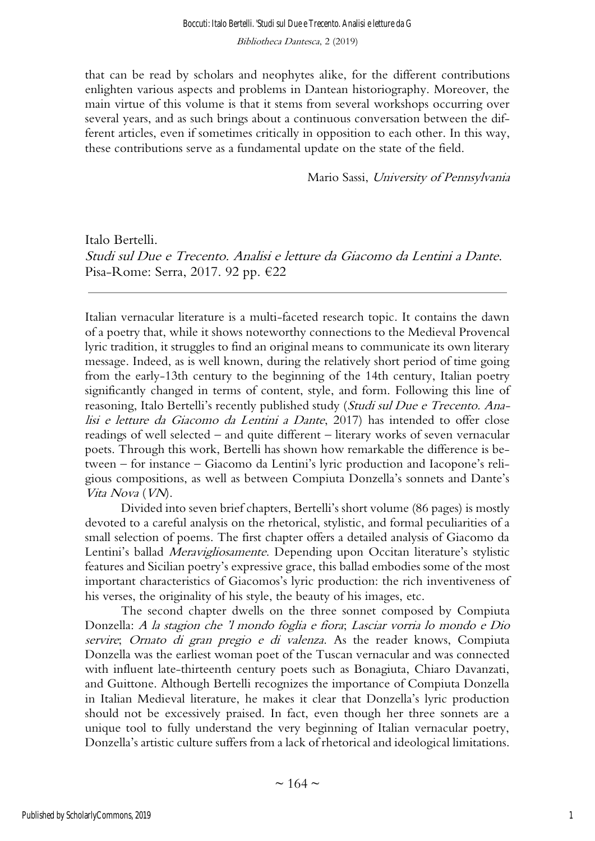that can be read by scholars and neophytes alike, for the different contributions enlighten various aspects and problems in Dantean historiography. Moreover, the main virtue of this volume is that it stems from several workshops occurring over several years, and as such brings about a continuous conversation between the different articles, even if sometimes critically in opposition to each other. In this way, these contributions serve as a fundamental update on the state of the field.

Mario Sassi, University of Pennsylvania

Italo Bertelli. Studi sul Due e Trecento. Analisi e letture da Giacomo da Lentini a Dante. Pisa-Rome: Serra, 2017. 92 pp. €22

Italian vernacular literature is a multi-faceted research topic. It contains the dawn of a poetry that, while it shows noteworthy connections to the Medieval Provencal lyric tradition, it struggles to find an original means to communicate its own literary message. Indeed, as is well known, during the relatively short period of time going from the early-13th century to the beginning of the 14th century, Italian poetry significantly changed in terms of content, style, and form. Following this line of reasoning, Italo Bertelli's recently published study (Studi sul Due e Trecento. Analisi e letture da Giacomo da Lentini a Dante, 2017) has intended to offer close readings of well selected – and quite different – literary works of seven vernacular poets. Through this work, Bertelli has shown how remarkable the difference is between – for instance – Giacomo da Lentini's lyric production and Iacopone's religious compositions, as well as between Compiuta Donzella's sonnets and Dante's Vita Nova (VN).

Divided into seven brief chapters, Bertelli's short volume (86 pages) is mostly devoted to a careful analysis on the rhetorical, stylistic, and formal peculiarities of a small selection of poems. The first chapter offers a detailed analysis of Giacomo da Lentini's ballad *Meravigliosamente*. Depending upon Occitan literature's stylistic features and Sicilian poetry's expressive grace, this ballad embodies some of the most important characteristics of Giacomos's lyric production: the rich inventiveness of his verses, the originality of his style, the beauty of his images, etc.

The second chapter dwells on the three sonnet composed by Compiuta Donzella: A la stagion che 'l mondo foglia e fiora; Lasciar vorria lo mondo e Dio servire; Ornato di gran pregio e di valenza. As the reader knows, Compiuta Donzella was the earliest woman poet of the Tuscan vernacular and was connected with influent late-thirteenth century poets such as Bonagiuta, Chiaro Davanzati, and Guittone. Although Bertelli recognizes the importance of Compiuta Donzella in Italian Medieval literature, he makes it clear that Donzella's lyric production should not be excessively praised. In fact, even though her three sonnets are a unique tool to fully understand the very beginning of Italian vernacular poetry, Donzella's artistic culture suffers from a lack of rhetorical and ideological limitations.